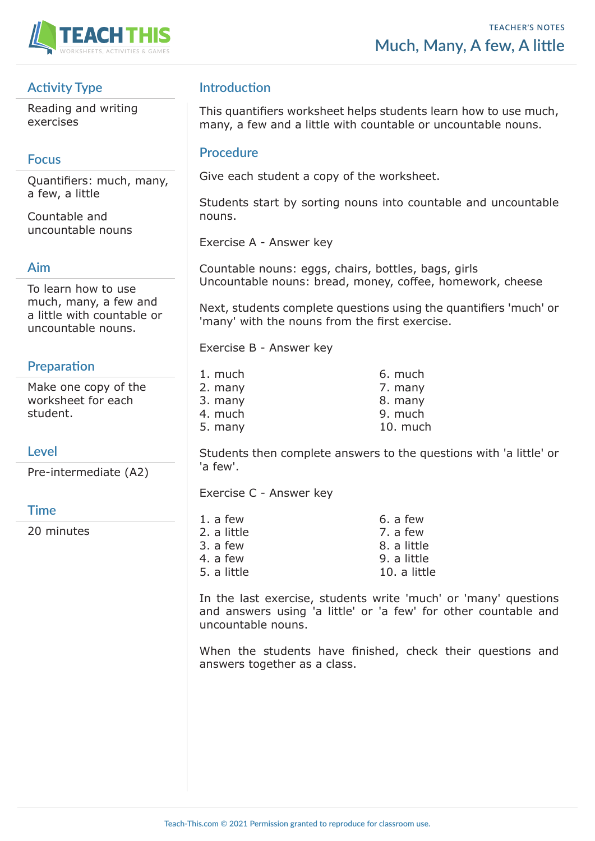

# **Activity Type**

Reading and writing exercises

# **Focus**

Quantifiers: much, many, a few, a little

Countable and uncountable nouns

#### **Aim**

To learn how to use much, many, a few and a little with countable or uncountable nouns.

# **Preparation**

Make one copy of the worksheet for each student.

# **Level**

Pre-intermediate (A2)

# **Time**

20 minutes

# **Introduction**

This quantifiers worksheet helps students learn how to use much, many, a few and a little with countable or uncountable nouns.

### **Procedure**

Give each student a copy of the worksheet.

Students start by sorting nouns into countable and uncountable nouns.

Exercise A - Answer key

Countable nouns: eggs, chairs, bottles, bags, girls Uncountable nouns: bread, money, coffee, homework, cheese

Next, students complete questions using the quantifiers 'much' or 'many' with the nouns from the first exercise.

Exercise B - Answer key

| 1. much | 6. much  |
|---------|----------|
| 2. many | 7. many  |
| 3. many | 8. many  |
| 4. much | 9. much  |
| 5. many | 10. much |
|         |          |

Students then complete answers to the questions with 'a little' or 'a few'.

Exercise C - Answer key

| 1. a few    | 6. a few     |
|-------------|--------------|
| 2. a little | 7. a few     |
| 3. a few    | 8. a little  |
| 4. a few    | 9. a little  |
| 5. a little | 10. a little |
|             |              |

In the last exercise, students write 'much' or 'many' questions and answers using 'a little' or 'a few' for other countable and uncountable nouns.

When the students have finished, check their questions and answers together as a class.